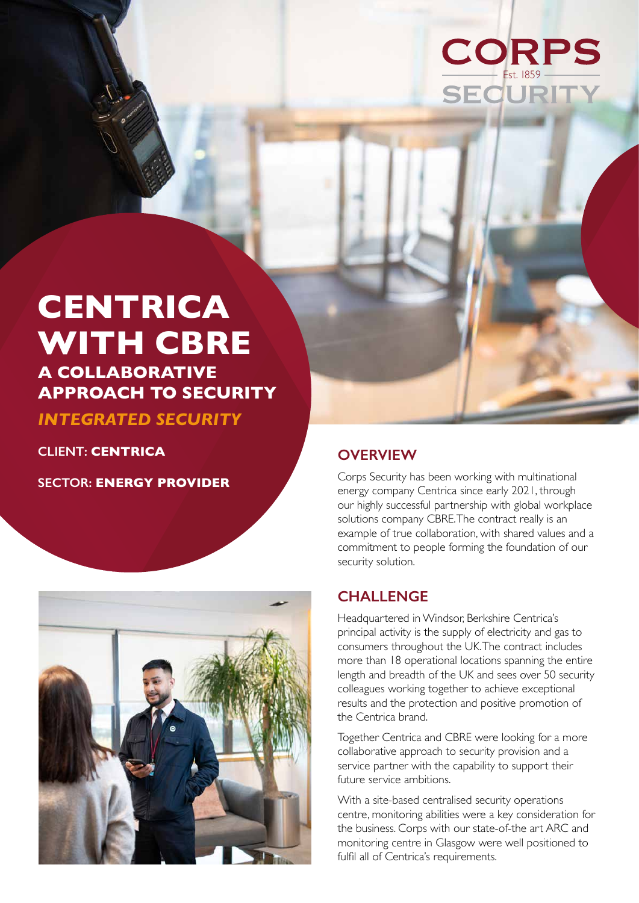# **CORPS** Est. 1859

## **CENTRICA WITH CBRE A COLLABORATIVE**

**APPROACH TO SECURITY** 

*INTEGRATED SECURITY*

**CLIENT: CENTRICA**

**SECTOR: ENERGY PROVIDER**



### **OVERVIEW**

Corps Security has been working with multinational energy company Centrica since early 2021, through our highly successful partnership with global workplace solutions company CBRE. The contract really is an example of true collaboration, with shared values and a commitment to people forming the foundation of our security solution.

### **CHALLENGE**

Headquartered in Windsor, Berkshire Centrica's principal activity is the supply of electricity and gas to consumers throughout the UK. The contract includes more than 18 operational locations spanning the entire length and breadth of the UK and sees over 50 security colleagues working together to achieve exceptional results and the protection and positive promotion of the Centrica brand.

Together Centrica and CBRE were looking for a more collaborative approach to security provision and a service partner with the capability to support their future service ambitions.

With a site-based centralised security operations centre, monitoring abilities were a key consideration for the business. Corps with our state-of-the art ARC and monitoring centre in Glasgow were well positioned to fulfil all of Centrica's requirements.